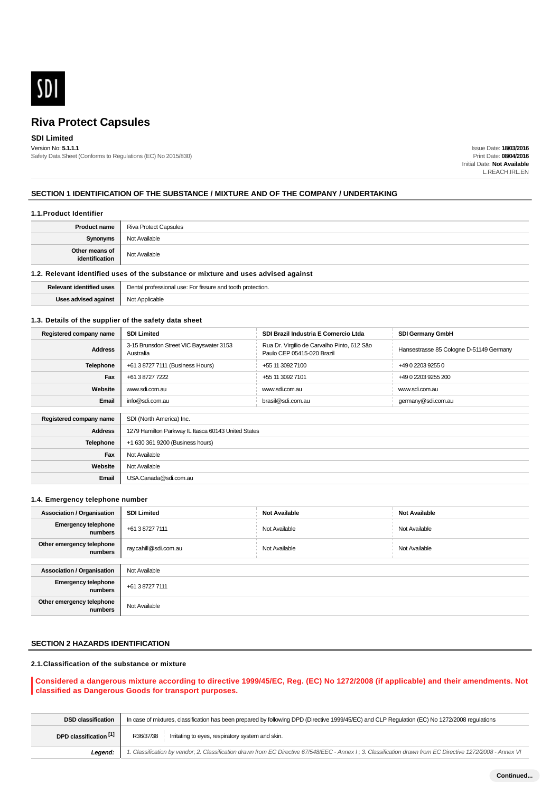

## **SDI Limited**

Version No: **5.1.1.1** Safety Data Sheet (Conforms to Regulations (EC) No 2015/830)

Issue Date: **18/03/2016** Print Date: **08/04/2016** Initial Date: **Not Available** L.REACH.IRL.EN

### **SECTION 1 IDENTIFICATION OF THE SUBSTANCE / MIXTURE AND OF THE COMPANY / UNDERTAKING**

#### **1.1.Product Identifier**

| <b>Product name</b>              | <b>Riva Protect Capsules</b> |
|----------------------------------|------------------------------|
| <b>Synonyms</b>                  | Not Available                |
| Other means of<br>identification | Not Available                |

### **1.2. Relevant identified uses of the substance or mixture and uses advised against**

| Relevant identified uses | Dental professional use:<br>tooth<br>↑ protection.<br>: For fissure and |  |  |
|--------------------------|-------------------------------------------------------------------------|--|--|
| Uses advised<br>against  | <b>N</b> Int<br>Applicable<br>י שטי                                     |  |  |

#### **1.3. Details of the supplier of the safety data sheet**

| Registered company name | <b>SDI Limited</b>                                   | SDI Brazil Industria E Comercio Ltda                                      | <b>SDI Germany GmbH</b>                 |  |  |
|-------------------------|------------------------------------------------------|---------------------------------------------------------------------------|-----------------------------------------|--|--|
| <b>Address</b>          | 3-15 Brunsdon Street VIC Bayswater 3153<br>Australia | Rua Dr. Virgilio de Carvalho Pinto, 612 São<br>Paulo CEP 05415-020 Brazil | Hansestrasse 85 Cologne D-51149 Germany |  |  |
| <b>Telephone</b>        | +61 3 8727 7111 (Business Hours)                     | +55 11 3092 7100                                                          | +49 0 2203 9255 0                       |  |  |
| Fax                     | +61 3 8727 7222                                      | +55 11 3092 7101                                                          | +49 0 2203 9255 200                     |  |  |
| Website                 | www.sdi.com.au                                       | www.sdi.com.au                                                            | www.sdi.com.au                          |  |  |
| Email                   | info@sdi.com.au                                      | brasil@sdi.com.au                                                         | germany@sdi.com.au                      |  |  |
|                         |                                                      |                                                                           |                                         |  |  |
| Registered company name | SDI (North America) Inc.                             |                                                                           |                                         |  |  |
| <b>Address</b>          | 1279 Hamilton Parkway IL Itasca 60143 United States  |                                                                           |                                         |  |  |
| Telephone               | +1 630 361 9200 (Business hours)                     |                                                                           |                                         |  |  |
| Fax                     | Not Available                                        |                                                                           |                                         |  |  |
| Website                 | Not Available                                        |                                                                           |                                         |  |  |
| Email                   | USA.Canada@sdi.com.au                                |                                                                           |                                         |  |  |

#### **1.4. Emergency telephone number**

| <b>Association / Organisation</b>     | <b>SDI Limited</b>    | <b>Not Available</b> | <b>Not Available</b> |  |
|---------------------------------------|-----------------------|----------------------|----------------------|--|
| <b>Emergency telephone</b><br>numbers | +61 3 8727 7111       | Not Available        | Not Available        |  |
| Other emergency telephone<br>numbers  | ray.cahill@sdi.com.au | Not Available        | Not Available        |  |
|                                       |                       |                      |                      |  |
| <b>Association / Organisation</b>     | Not Available         |                      |                      |  |
| <b>Emergency telephone</b><br>numbers | +61 3 8727 7111       |                      |                      |  |
| Other emergency telephone<br>numbers  | Not Available         |                      |                      |  |

## **SECTION 2 HAZARDS IDENTIFICATION**

### **2.1.Classification of the substance or mixture**

### **Considered a dangerous mixture according to directive 1999/45/EC, Reg. (EC) No 1272/2008 (if applicable) and their amendments. Not classified as Dangerous Goods for transport purposes.**

| <b>DSD classification</b> | In case of mixtures, classification has been prepared by following DPD (Directive 1999/45/EC) and CLP Regulation (EC) No 1272/2008 regulations              |  |  |  |  |
|---------------------------|-------------------------------------------------------------------------------------------------------------------------------------------------------------|--|--|--|--|
| DPD classification [1]    | Irritating to eyes, respiratory system and skin.<br>R36/37/38                                                                                               |  |  |  |  |
| Leaend:                   | 1. Classification by vendor; 2. Classification drawn from EC Directive 67/548/EEC - Annex I; 3. Classification drawn from EC Directive 1272/2008 - Annex VI |  |  |  |  |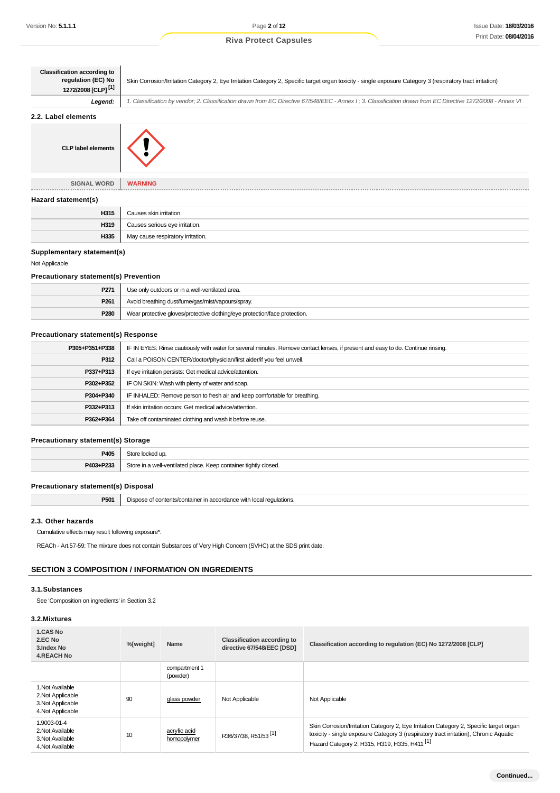| <b>Classification according to</b><br>regulation (EC) No<br>1272/2008 [CLP] <sup>[1]</sup> | Skin Corrosion/Irritation Category 2, Eye Irritation Category 2, Specific target organ toxicity - single exposure Category 3 (respiratory tract irritation) |
|--------------------------------------------------------------------------------------------|-------------------------------------------------------------------------------------------------------------------------------------------------------------|
| Legend:                                                                                    | 1. Classification by vendor; 2. Classification drawn from EC Directive 67/548/EEC - Annex I; 3. Classification drawn from EC Directive 1272/2008 - Annex VI |
| 2.2. Label elements                                                                        |                                                                                                                                                             |
| <b>CLP label elements</b>                                                                  |                                                                                                                                                             |
| <b>SIGNAL WORD</b>                                                                         | <b>WARNING</b>                                                                                                                                              |
| Hazard statement(s)                                                                        |                                                                                                                                                             |
| H315                                                                                       | Causes skin irritation.                                                                                                                                     |
| 11240                                                                                      | Outlined address also builded as                                                                                                                            |

| $\sim$ $\sim$ |                                   |  |
|---------------|-----------------------------------|--|
| H315          | Causes skin irritation.           |  |
| H319          | Causes serious eye irritation.    |  |
| H335          | May cause respiratory irritation. |  |

## **Supplementary statement(s)**

#### Not Applicable

### **Precautionary statement(s) Prevention**

| P <sub>271</sub> | Use only outdoors or in a well-ventilated area.                            |  |  |
|------------------|----------------------------------------------------------------------------|--|--|
| P <sub>261</sub> | Avoid breathing dust/fume/gas/mist/vapours/spray.                          |  |  |
| P280             | Wear protective gloves/protective clothing/eye protection/face protection. |  |  |

## **Precautionary statement(s) Response**

| P305+P351+P338 | IF IN EYES: Rinse cautiously with water for several minutes. Remove contact lenses, if present and easy to do. Continue rinsing. |  |  |
|----------------|----------------------------------------------------------------------------------------------------------------------------------|--|--|
| P312           | Call a POISON CENTER/doctor/physician/first aider/if you feel unwell.                                                            |  |  |
| P337+P313      | If eye irritation persists: Get medical advice/attention.                                                                        |  |  |
| P302+P352      | IF ON SKIN: Wash with plenty of water and soap.                                                                                  |  |  |
| P304+P340      | IF INHALED: Remove person to fresh air and keep comfortable for breathing.                                                       |  |  |
| P332+P313      | If skin irritation occurs: Get medical advice/attention.                                                                         |  |  |
| P362+P364      | Take off contaminated clothing and wash it before reuse.                                                                         |  |  |
|                |                                                                                                                                  |  |  |

### **Precautionary statement(s) Storage**

| P405             | $-1$                                                                |  |
|------------------|---------------------------------------------------------------------|--|
| <b>D402-D223</b> | $C$ tor<br>* tightly closed.<br><br>Y AAN AAN<br>.<br>$\sim$ $\sim$ |  |

### **Precautionary statement(s) Disposal**

| P501 | Dispose of contents/container in accordance with local regulations. |
|------|---------------------------------------------------------------------|
|------|---------------------------------------------------------------------|

#### **2.3. Other hazards**

Cumulative effects may result following exposure\*.

REACh - Art.57-59: The mixture does not contain Substances of Very High Concern (SVHC) at the SDS print date.

## **SECTION 3 COMPOSITION / INFORMATION ON INGREDIENTS**

### **3.1.Substances**

See 'Composition on ingredients' in Section 3.2

## **3.2.Mixtures**

| 1.CAS No<br>2.EC No<br>3. Index No<br><b>4.REACH No</b>                         | %[weight] | Name                        | <b>Classification according to</b><br>directive 67/548/EEC [DSD] | Classification according to regulation (EC) No 1272/2008 [CLP]                                                                                                                                                                              |
|---------------------------------------------------------------------------------|-----------|-----------------------------|------------------------------------------------------------------|---------------------------------------------------------------------------------------------------------------------------------------------------------------------------------------------------------------------------------------------|
|                                                                                 |           | compartment 1<br>(powder)   |                                                                  |                                                                                                                                                                                                                                             |
| 1. Not Available<br>2. Not Applicable<br>3. Not Applicable<br>4. Not Applicable | 90        | glass powder                | Not Applicable                                                   | Not Applicable                                                                                                                                                                                                                              |
| 1.9003-01-4<br>2. Not Available<br>3. Not Available<br>4. Not Available         | 10        | acrylic acid<br>homopolymer | R36/37/38, R51/53 <sup>[1]</sup>                                 | Skin Corrosion/Irritation Category 2, Eye Irritation Category 2, Specific target organ<br>toxicity - single exposure Category 3 (respiratory tract irritation), Chronic Aquatic<br>Hazard Category 2; H315, H319, H335, H411 <sup>[1]</sup> |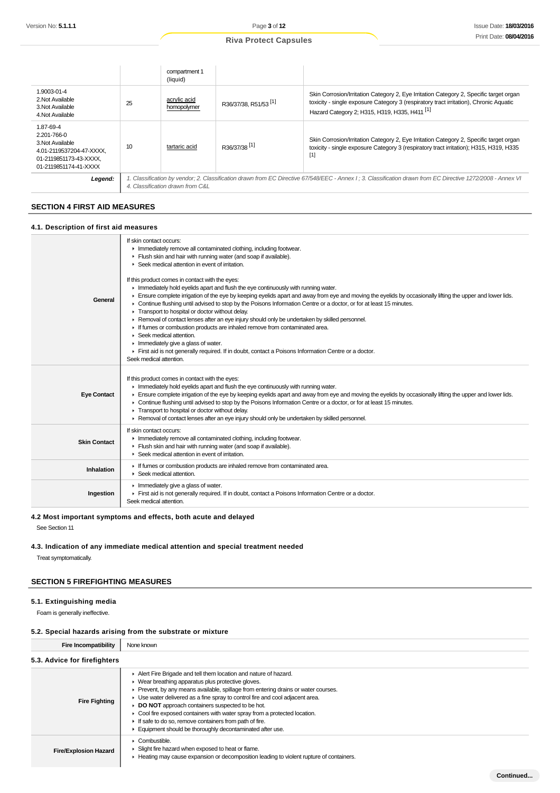|                                                                                                                             |    | compartment 1<br>(liquid)        |                                  |                                                                                                                                                                                                                                             |
|-----------------------------------------------------------------------------------------------------------------------------|----|----------------------------------|----------------------------------|---------------------------------------------------------------------------------------------------------------------------------------------------------------------------------------------------------------------------------------------|
| 1.9003-01-4<br>2. Not Available<br>3. Not Available<br>4. Not Available                                                     | 25 | acrylic acid<br>homopolymer      | R36/37/38, R51/53 <sup>[1]</sup> | Skin Corrosion/Irritation Category 2, Eye Irritation Category 2, Specific target organ<br>toxicity - single exposure Category 3 (respiratory tract irritation), Chronic Aquatic<br>Hazard Category 2; H315, H319, H335, H411 <sup>[1]</sup> |
| 1.87-69-4<br>2.201-766-0<br>3. Not Available<br>4.01-2119537204-47-XXXX.<br>01-2119851173-43-XXXX,<br>01-2119851174-41-XXXX | 10 | tartaric acid                    | R36/37/38 <sup>[1]</sup>         | Skin Corrosion/Irritation Category 2, Eye Irritation Category 2, Specific target organ<br>toxicity - single exposure Category 3 (respiratory tract irritation); H315, H319, H335<br>$[1]$                                                   |
| Legend:                                                                                                                     |    | 4. Classification drawn from C&L |                                  | 1. Classification by vendor; 2. Classification drawn from EC Directive 67/548/EEC - Annex I; 3. Classification drawn from EC Directive 1272/2008 - Annex VI                                                                                 |

## **SECTION 4 FIRST AID MEASURES**

#### **4.1. Description of first aid measures**

| General             | If skin contact occurs:<br>Inmediately remove all contaminated clothing, including footwear.<br>Flush skin and hair with running water (and soap if available).<br>Seek medical attention in event of irritation.<br>If this product comes in contact with the eyes:<br>In mediately hold eyelids apart and flush the eye continuously with running water.<br>Ensure complete irrigation of the eye by keeping eyelids apart and away from eye and moving the eyelids by occasionally lifting the upper and lower lids.<br>Continue flushing until advised to stop by the Poisons Information Centre or a doctor, or for at least 15 minutes.<br>Transport to hospital or doctor without delay.<br>▶ Removal of contact lenses after an eye injury should only be undertaken by skilled personnel.<br>If fumes or combustion products are inhaled remove from contaminated area.<br>$\triangleright$ Seek medical attention.<br>Inmediately give a glass of water. |
|---------------------|--------------------------------------------------------------------------------------------------------------------------------------------------------------------------------------------------------------------------------------------------------------------------------------------------------------------------------------------------------------------------------------------------------------------------------------------------------------------------------------------------------------------------------------------------------------------------------------------------------------------------------------------------------------------------------------------------------------------------------------------------------------------------------------------------------------------------------------------------------------------------------------------------------------------------------------------------------------------|
|                     | First aid is not generally required. If in doubt, contact a Poisons Information Centre or a doctor.<br>Seek medical attention.                                                                                                                                                                                                                                                                                                                                                                                                                                                                                                                                                                                                                                                                                                                                                                                                                                     |
| <b>Eye Contact</b>  | If this product comes in contact with the eyes:<br>In mediately hold eyelids apart and flush the eye continuously with running water.<br>Ensure complete irrigation of the eye by keeping eyelids apart and away from eye and moving the eyelids by occasionally lifting the upper and lower lids.<br>Continue flushing until advised to stop by the Poisons Information Centre or a doctor, or for at least 15 minutes.<br>Transport to hospital or doctor without delay.<br>► Removal of contact lenses after an eye injury should only be undertaken by skilled personnel.                                                                                                                                                                                                                                                                                                                                                                                      |
| <b>Skin Contact</b> | If skin contact occurs:<br>Inmediately remove all contaminated clothing, including footwear.<br>Flush skin and hair with running water (and soap if available).<br>Seek medical attention in event of irritation.                                                                                                                                                                                                                                                                                                                                                                                                                                                                                                                                                                                                                                                                                                                                                  |
| Inhalation          | If fumes or combustion products are inhaled remove from contaminated area.<br>$\blacktriangleright$ Seek medical attention.                                                                                                                                                                                                                                                                                                                                                                                                                                                                                                                                                                                                                                                                                                                                                                                                                                        |
| Ingestion           | $\blacktriangleright$ Immediately give a glass of water.<br>First aid is not generally required. If in doubt, contact a Poisons Information Centre or a doctor.<br>Seek medical attention.                                                                                                                                                                                                                                                                                                                                                                                                                                                                                                                                                                                                                                                                                                                                                                         |

## **4.2 Most important symptoms and effects, both acute and delayed**

See Section 11

## **4.3. Indication of any immediate medical attention and special treatment needed**

Treat symptomatically.

## **SECTION 5 FIREFIGHTING MEASURES**

### **5.1. Extinguishing media**

**Fire/Explosion Hazard**

Foam is generally ineffective.

#### **5.2. Special hazards arising from the substrate or mixture**

| <b>Fire Incompatibility</b>  | None known                                                                                                                                                                                                                                                                                                                                                                                                                                                                                                                                          |
|------------------------------|-----------------------------------------------------------------------------------------------------------------------------------------------------------------------------------------------------------------------------------------------------------------------------------------------------------------------------------------------------------------------------------------------------------------------------------------------------------------------------------------------------------------------------------------------------|
| 5.3. Advice for firefighters |                                                                                                                                                                                                                                                                                                                                                                                                                                                                                                                                                     |
| <b>Fire Fighting</b>         | Alert Fire Brigade and tell them location and nature of hazard.<br>▶ Wear breathing apparatus plus protective gloves.<br>▶ Prevent, by any means available, spillage from entering drains or water courses.<br>• Use water delivered as a fine spray to control fire and cool adjacent area.<br>DO NOT approach containers suspected to be hot.<br>• Cool fire exposed containers with water spray from a protected location.<br>If safe to do so, remove containers from path of fire.<br>Equipment should be thoroughly decontaminated after use. |

| $\triangleright$ Combustible.<br>► Slight fire hazard when exposed to heat or flame.<br>E Heating may cause expansion or decomposition leading to violent rupture of containers. |           |
|----------------------------------------------------------------------------------------------------------------------------------------------------------------------------------|-----------|
|                                                                                                                                                                                  | Continued |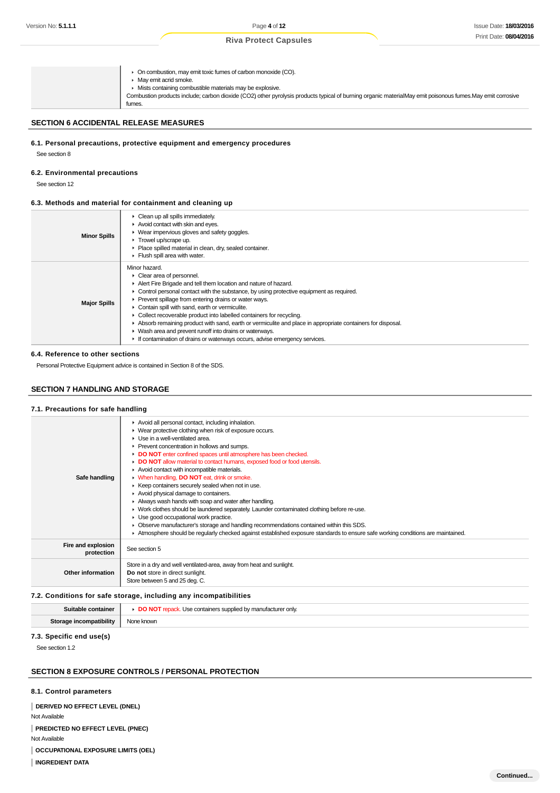▶ On combustion, may emit toxic fumes of carbon monoxide (CO). **May emit acrid smoke.** Mists containing combustible materials may be explosive. Combustion products include; carbon dioxide (CO2) other pyrolysis products typical of burning organic materialMay emit poisonous fumes.May emit corrosive fumes.

## **SECTION 6 ACCIDENTAL RELEASE MEASURES**

#### **6.1. Personal precautions, protective equipment and emergency procedures**

See section 8

#### **6.2. Environmental precautions**

See section 12

#### **6.3. Methods and material for containment and cleaning up**

| <b>Minor Spills</b>              | $\triangleright$ Clean up all spills immediately.<br>Avoid contact with skin and eyes.<br>▶ Wear impervious gloves and safety goggles.<br>Trowel up/scrape up.<br>• Place spilled material in clean, dry, sealed container.<br>Flush spill area with water.                                                                                                                                                                                                                                                                                                                                                                                                           |
|----------------------------------|-----------------------------------------------------------------------------------------------------------------------------------------------------------------------------------------------------------------------------------------------------------------------------------------------------------------------------------------------------------------------------------------------------------------------------------------------------------------------------------------------------------------------------------------------------------------------------------------------------------------------------------------------------------------------|
| <b>Major Spills</b>              | Minor hazard.<br>Clear area of personnel.<br>Alert Fire Brigade and tell them location and nature of hazard.<br>$\triangleright$ Control personal contact with the substance, by using protective equipment as required.<br>▶ Prevent spillage from entering drains or water ways.<br>Contain spill with sand, earth or vermiculite.<br>• Collect recoverable product into labelled containers for recycling.<br>Absorb remaining product with sand, earth or vermiculite and place in appropriate containers for disposal.<br>• Wash area and prevent runoff into drains or waterways.<br>If contamination of drains or waterways occurs, advise emergency services. |
| 6.4. Reference to other sections |                                                                                                                                                                                                                                                                                                                                                                                                                                                                                                                                                                                                                                                                       |

Personal Protective Equipment advice is contained in Section 8 of the SDS.

## **SECTION 7 HANDLING AND STORAGE**

#### **7.1. Precautions for safe handling**

| Safe handling                    | Avoid all personal contact, including inhalation.<br>▶ Wear protective clothing when risk of exposure occurs.<br>$\blacktriangleright$ Use in a well-ventilated area.<br>▶ Prevent concentration in hollows and sumps.<br>DO NOT enter confined spaces until atmosphere has been checked.<br>• DO NOT allow material to contact humans, exposed food or food utensils.<br>Avoid contact with incompatible materials.<br>V When handling, DO NOT eat, drink or smoke.<br>▶ Keep containers securely sealed when not in use.<br>Avoid physical damage to containers.<br>Always wash hands with soap and water after handling.<br>• Work clothes should be laundered separately. Launder contaminated clothing before re-use.<br>Use good occupational work practice.<br>• Observe manufacturer's storage and handling recommendations contained within this SDS.<br>Atmosphere should be regularly checked against established exposure standards to ensure safe working conditions are maintained. |
|----------------------------------|---------------------------------------------------------------------------------------------------------------------------------------------------------------------------------------------------------------------------------------------------------------------------------------------------------------------------------------------------------------------------------------------------------------------------------------------------------------------------------------------------------------------------------------------------------------------------------------------------------------------------------------------------------------------------------------------------------------------------------------------------------------------------------------------------------------------------------------------------------------------------------------------------------------------------------------------------------------------------------------------------|
| Fire and explosion<br>protection | See section 5                                                                                                                                                                                                                                                                                                                                                                                                                                                                                                                                                                                                                                                                                                                                                                                                                                                                                                                                                                                     |
| Other information                | Store in a dry and well ventilated-area, away from heat and sunlight.<br>Do not store in direct sunlight.<br>Store between 5 and 25 deg. C.                                                                                                                                                                                                                                                                                                                                                                                                                                                                                                                                                                                                                                                                                                                                                                                                                                                       |

#### **7.2. Conditions for safe storage, including any incompatibilities**

| Suitab<br>наше | supplied by .<br>tainare<br>cturer only.<br>· ma<br>` lea cont:<br>1171111713 |
|----------------|-------------------------------------------------------------------------------|
| ihilih         | NIC                                                                           |
| $\cdot$        | nowi                                                                          |

#### **7.3. Specific end use(s)**

See section 1.2

### **SECTION 8 EXPOSURE CONTROLS / PERSONAL PROTECTION**

### **8.1. Control parameters**

**DERIVED NO EFFECT LEVEL (DNEL)** Not Available **PREDICTED NO EFFECT LEVEL (PNEC)** Not Available **OCCUPATIONAL EXPOSURE LIMITS (OEL)**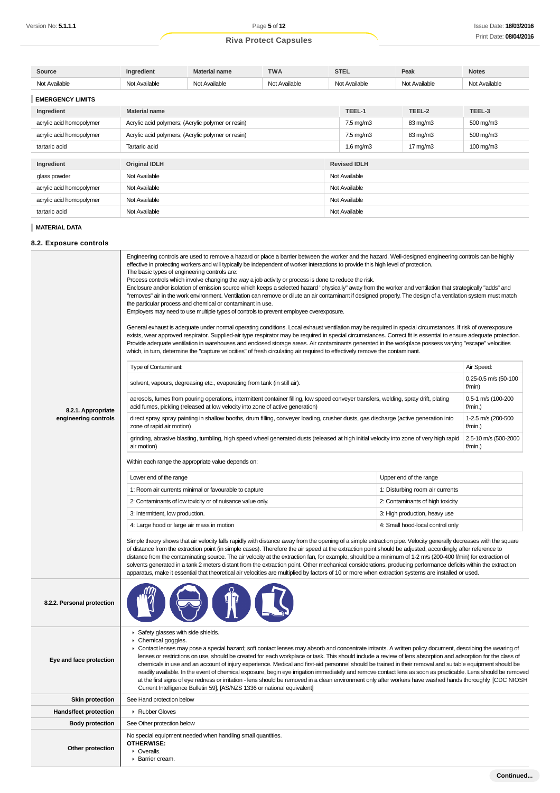| Source                                                    | Ingredient           | <b>Material name</b>                              | <b>TWA</b>    | <b>STEL</b>    | Peak              | <b>Notes</b>         |  |
|-----------------------------------------------------------|----------------------|---------------------------------------------------|---------------|----------------|-------------------|----------------------|--|
| Not Available                                             | Not Available        | Not Available                                     | Not Available | Not Available  | Not Available     | Not Available        |  |
| <b>EMERGENCY LIMITS</b>                                   |                      |                                                   |               |                |                   |                      |  |
| Ingredient                                                | <b>Material name</b> |                                                   |               |                | TEEL-2            | TEEL-3               |  |
| acrylic acid homopolymer                                  |                      | Acrylic acid polymers; (Acrylic polymer or resin) |               |                | 83 mg/m3          | $500 \text{ mg/m}$ 3 |  |
| acrylic acid homopolymer                                  |                      | Acrylic acid polymers; (Acrylic polymer or resin) |               |                | 83 mg/m3          | 500 mg/m3            |  |
| tartaric acid                                             | Tartaric acid        |                                                   |               | $1.6$ mg/m $3$ | $17 \text{ mg/m}$ | $100 \text{ mg/m}$ 3 |  |
| <b>Revised IDLH</b><br>Ingredient<br><b>Original IDLH</b> |                      |                                                   |               |                |                   |                      |  |
| glass powder                                              | Not Available        |                                                   |               |                | Not Available     |                      |  |
| acrylic acid homopolymer                                  | Not Available        |                                                   |               | Not Available  |                   |                      |  |
| acrylic acid homopolymer                                  | Not Available        |                                                   |               | Not Available  |                   |                      |  |
| tartaric acid                                             | Not Available        |                                                   |               |                |                   |                      |  |
|                                                           |                      |                                                   |               |                |                   |                      |  |

### **MATERIAL DATA**

L

### **8.2. Exposure controls**

|                                            | Engineering controls are used to remove a hazard or place a barrier between the worker and the hazard. Well-designed engineering controls can be highly<br>effective in protecting workers and will typically be independent of worker interactions to provide this high level of protection.<br>The basic types of engineering controls are:<br>Process controls which involve changing the way a job activity or process is done to reduce the risk.<br>Enclosure and/or isolation of emission source which keeps a selected hazard "physically" away from the worker and ventilation that strategically "adds" and<br>"removes" air in the work environment. Ventilation can remove or dilute an air contaminant if designed properly. The design of a ventilation system must match<br>the particular process and chemical or contaminant in use.<br>Employers may need to use multiple types of controls to prevent employee overexposure.<br>General exhaust is adequate under normal operating conditions. Local exhaust ventilation may be required in special circumstances. If risk of overexposure<br>exists, wear approved respirator. Supplied-air type respirator may be required in special circumstances. Correct fit is essential to ensure adequate protection.<br>Provide adequate ventilation in warehouses and enclosed storage areas. Air contaminants generated in the workplace possess varying "escape" velocities<br>which, in turn, determine the "capture velocities" of fresh circulating air required to effectively remove the contaminant.<br><b>Type of Contaminant:</b><br>Air Speed:<br>0.25-0.5 m/s (50-100<br>solvent, vapours, degreasing etc., evaporating from tank (in still air).<br>f/min)<br>aerosols, fumes from pouring operations, intermittent container filling, low speed conveyer transfers, welding, spray drift, plating<br>0.5-1 m/s (100-200 |  |                                          |  |  |
|--------------------------------------------|-----------------------------------------------------------------------------------------------------------------------------------------------------------------------------------------------------------------------------------------------------------------------------------------------------------------------------------------------------------------------------------------------------------------------------------------------------------------------------------------------------------------------------------------------------------------------------------------------------------------------------------------------------------------------------------------------------------------------------------------------------------------------------------------------------------------------------------------------------------------------------------------------------------------------------------------------------------------------------------------------------------------------------------------------------------------------------------------------------------------------------------------------------------------------------------------------------------------------------------------------------------------------------------------------------------------------------------------------------------------------------------------------------------------------------------------------------------------------------------------------------------------------------------------------------------------------------------------------------------------------------------------------------------------------------------------------------------------------------------------------------------------------------------------------------------------------------------------------------------------------------------------------------|--|------------------------------------------|--|--|
| 8.2.1. Appropriate<br>engineering controls | acid fumes, pickling (released at low velocity into zone of active generation)<br>direct spray, spray painting in shallow booths, drum filling, conveyer loading, crusher dusts, gas discharge (active generation into<br>zone of rapid air motion)                                                                                                                                                                                                                                                                                                                                                                                                                                                                                                                                                                                                                                                                                                                                                                                                                                                                                                                                                                                                                                                                                                                                                                                                                                                                                                                                                                                                                                                                                                                                                                                                                                                 |  | f/min.)<br>1-2.5 m/s (200-500<br>f/min.) |  |  |
|                                            | grinding, abrasive blasting, tumbling, high speed wheel generated dusts (released at high initial velocity into zone of very high rapid<br>air motion)                                                                                                                                                                                                                                                                                                                                                                                                                                                                                                                                                                                                                                                                                                                                                                                                                                                                                                                                                                                                                                                                                                                                                                                                                                                                                                                                                                                                                                                                                                                                                                                                                                                                                                                                              |  | 2.5-10 m/s (500-2000<br>f/min.)          |  |  |
|                                            | Within each range the appropriate value depends on:                                                                                                                                                                                                                                                                                                                                                                                                                                                                                                                                                                                                                                                                                                                                                                                                                                                                                                                                                                                                                                                                                                                                                                                                                                                                                                                                                                                                                                                                                                                                                                                                                                                                                                                                                                                                                                                 |  |                                          |  |  |
|                                            | Lower end of the range<br>Upper end of the range                                                                                                                                                                                                                                                                                                                                                                                                                                                                                                                                                                                                                                                                                                                                                                                                                                                                                                                                                                                                                                                                                                                                                                                                                                                                                                                                                                                                                                                                                                                                                                                                                                                                                                                                                                                                                                                    |  |                                          |  |  |
|                                            | 1: Room air currents minimal or favourable to capture<br>1: Disturbing room air currents                                                                                                                                                                                                                                                                                                                                                                                                                                                                                                                                                                                                                                                                                                                                                                                                                                                                                                                                                                                                                                                                                                                                                                                                                                                                                                                                                                                                                                                                                                                                                                                                                                                                                                                                                                                                            |  |                                          |  |  |
|                                            | 2: Contaminants of low toxicity or of nuisance value only.<br>2: Contaminants of high toxicity                                                                                                                                                                                                                                                                                                                                                                                                                                                                                                                                                                                                                                                                                                                                                                                                                                                                                                                                                                                                                                                                                                                                                                                                                                                                                                                                                                                                                                                                                                                                                                                                                                                                                                                                                                                                      |  |                                          |  |  |
|                                            | 3: Intermittent, low production.<br>3: High production, heavy use                                                                                                                                                                                                                                                                                                                                                                                                                                                                                                                                                                                                                                                                                                                                                                                                                                                                                                                                                                                                                                                                                                                                                                                                                                                                                                                                                                                                                                                                                                                                                                                                                                                                                                                                                                                                                                   |  |                                          |  |  |
|                                            | 4: Large hood or large air mass in motion<br>4: Small hood-local control only                                                                                                                                                                                                                                                                                                                                                                                                                                                                                                                                                                                                                                                                                                                                                                                                                                                                                                                                                                                                                                                                                                                                                                                                                                                                                                                                                                                                                                                                                                                                                                                                                                                                                                                                                                                                                       |  |                                          |  |  |
|                                            | Simple theory shows that air velocity falls rapidly with distance away from the opening of a simple extraction pipe. Velocity generally decreases with the square<br>of distance from the extraction point (in simple cases). Therefore the air speed at the extraction point should be adjusted, accordingly, after reference to<br>distance from the contaminating source. The air velocity at the extraction fan, for example, should be a minimum of 1-2 m/s (200-400 f/min) for extraction of<br>solvents generated in a tank 2 meters distant from the extraction point. Other mechanical considerations, producing performance deficits within the extraction<br>apparatus, make it essential that theoretical air velocities are multiplied by factors of 10 or more when extraction systems are installed or used.                                                                                                                                                                                                                                                                                                                                                                                                                                                                                                                                                                                                                                                                                                                                                                                                                                                                                                                                                                                                                                                                         |  |                                          |  |  |
| 8.2.2. Personal protection                 |                                                                                                                                                                                                                                                                                                                                                                                                                                                                                                                                                                                                                                                                                                                                                                                                                                                                                                                                                                                                                                                                                                                                                                                                                                                                                                                                                                                                                                                                                                                                                                                                                                                                                                                                                                                                                                                                                                     |  |                                          |  |  |
| Eye and face protection                    | Safety glasses with side shields.<br>$\triangleright$ Chemical goggles.<br>▶ Contact lenses may pose a special hazard; soft contact lenses may absorb and concentrate irritants. A written policy document, describing the wearing of<br>lenses or restrictions on use, should be created for each workplace or task. This should include a review of lens absorption and adsorption for the class of<br>chemicals in use and an account of injury experience. Medical and first-aid personnel should be trained in their removal and suitable equipment should be<br>readily available. In the event of chemical exposure, begin eye irrigation immediately and remove contact lens as soon as practicable. Lens should be removed<br>at the first signs of eye redness or irritation - lens should be removed in a clean environment only after workers have washed hands thoroughly. [CDC NIOSH<br>Current Intelligence Bulletin 59], [AS/NZS 1336 or national equivalent]                                                                                                                                                                                                                                                                                                                                                                                                                                                                                                                                                                                                                                                                                                                                                                                                                                                                                                                       |  |                                          |  |  |
| <b>Skin protection</b>                     | See Hand protection below                                                                                                                                                                                                                                                                                                                                                                                                                                                                                                                                                                                                                                                                                                                                                                                                                                                                                                                                                                                                                                                                                                                                                                                                                                                                                                                                                                                                                                                                                                                                                                                                                                                                                                                                                                                                                                                                           |  |                                          |  |  |
| Hands/feet protection                      | Rubber Gloves                                                                                                                                                                                                                                                                                                                                                                                                                                                                                                                                                                                                                                                                                                                                                                                                                                                                                                                                                                                                                                                                                                                                                                                                                                                                                                                                                                                                                                                                                                                                                                                                                                                                                                                                                                                                                                                                                       |  |                                          |  |  |
| <b>Body protection</b>                     | See Other protection below                                                                                                                                                                                                                                                                                                                                                                                                                                                                                                                                                                                                                                                                                                                                                                                                                                                                                                                                                                                                                                                                                                                                                                                                                                                                                                                                                                                                                                                                                                                                                                                                                                                                                                                                                                                                                                                                          |  |                                          |  |  |
| Other protection                           | No special equipment needed when handling small quantities.<br>OTHERWISE:<br>• Overalls.<br>Barrier cream.                                                                                                                                                                                                                                                                                                                                                                                                                                                                                                                                                                                                                                                                                                                                                                                                                                                                                                                                                                                                                                                                                                                                                                                                                                                                                                                                                                                                                                                                                                                                                                                                                                                                                                                                                                                          |  |                                          |  |  |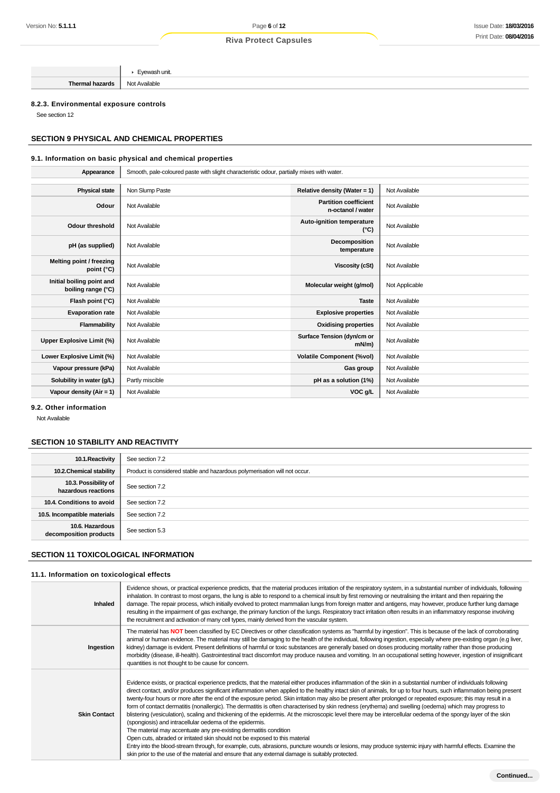**Thermal hazards** Not Available

Eyewash unit.

### **8.2.3. Environmental exposure controls**

See section 12

## **SECTION 9 PHYSICAL AND CHEMICAL PROPERTIES**

### **9.1. Information on basic physical and chemical properties**

| Appearance                                      | Smooth, pale-coloured paste with slight characteristic odour, partially mixes with water. |                                                   |                |
|-------------------------------------------------|-------------------------------------------------------------------------------------------|---------------------------------------------------|----------------|
|                                                 |                                                                                           |                                                   |                |
| <b>Physical state</b>                           | Non Slump Paste                                                                           | Relative density (Water = 1)                      | Not Available  |
| Odour                                           | Not Available                                                                             | <b>Partition coefficient</b><br>n-octanol / water | Not Available  |
| <b>Odour threshold</b>                          | Not Available                                                                             | Auto-ignition temperature<br>$(^{\circ}C)$        | Not Available  |
| pH (as supplied)                                | Not Available                                                                             | Decomposition<br>temperature                      | Not Available  |
| Melting point / freezing<br>point $(^{\circ}C)$ | Not Available                                                                             | Viscosity (cSt)                                   | Not Available  |
| Initial boiling point and<br>boiling range (°C) | Not Available                                                                             | Molecular weight (g/mol)                          | Not Applicable |
| Flash point (°C)                                | Not Available                                                                             | <b>Taste</b>                                      | Not Available  |
| <b>Evaporation rate</b>                         | Not Available                                                                             | <b>Explosive properties</b>                       | Not Available  |
| Flammability                                    | Not Available                                                                             | <b>Oxidising properties</b>                       | Not Available  |
| Upper Explosive Limit (%)                       | Not Available                                                                             | Surface Tension (dyn/cm or<br>$mN/m$ )            | Not Available  |
| Lower Explosive Limit (%)                       | Not Available                                                                             | <b>Volatile Component (%vol)</b>                  | Not Available  |
| Vapour pressure (kPa)                           | Not Available                                                                             | Gas group                                         | Not Available  |
| Solubility in water (g/L)                       | Partly miscible                                                                           | pH as a solution (1%)                             | Not Available  |
| Vapour density $(Air = 1)$                      | Not Available                                                                             | VOC g/L                                           | Not Available  |

**9.2. Other information**

Not Available

## **SECTION 10 STABILITY AND REACTIVITY**

| 10.1. Reactivity                            | See section 7.2                                                           |
|---------------------------------------------|---------------------------------------------------------------------------|
| 10.2. Chemical stability                    | Product is considered stable and hazardous polymerisation will not occur. |
| 10.3. Possibility of<br>hazardous reactions | See section 7.2                                                           |
| 10.4. Conditions to avoid                   | See section 7.2                                                           |
| 10.5. Incompatible materials                | See section 7.2                                                           |
| 10.6. Hazardous<br>decomposition products   | See section 5.3                                                           |

### **SECTION 11 TOXICOLOGICAL INFORMATION**

#### **11.1. Information on toxicological effects**

| Inhaled             | Evidence shows, or practical experience predicts, that the material produces irritation of the respiratory system, in a substantial number of individuals, following<br>inhalation. In contrast to most organs, the lung is able to respond to a chemical insult by first removing or neutralising the irritant and then repairing the<br>damage. The repair process, which initially evolved to protect mammalian lungs from foreign matter and antigens, may however, produce further lung damage<br>resulting in the impairment of gas exchange, the primary function of the lungs. Respiratory tract irritation often results in an inflammatory response involving<br>the recruitment and activation of many cell types, mainly derived from the vascular system.                                                                                                                                                                                                                                                                                                                                                                                                                                                                                                                                                |
|---------------------|-----------------------------------------------------------------------------------------------------------------------------------------------------------------------------------------------------------------------------------------------------------------------------------------------------------------------------------------------------------------------------------------------------------------------------------------------------------------------------------------------------------------------------------------------------------------------------------------------------------------------------------------------------------------------------------------------------------------------------------------------------------------------------------------------------------------------------------------------------------------------------------------------------------------------------------------------------------------------------------------------------------------------------------------------------------------------------------------------------------------------------------------------------------------------------------------------------------------------------------------------------------------------------------------------------------------------|
| Ingestion           | The material has NOT been classified by EC Directives or other classification systems as "harmful by ingestion". This is because of the lack of corroborating<br>animal or human evidence. The material may still be damaging to the health of the individual, following ingestion, especially where pre-existing organ (e.g liver,<br>kidney) damage is evident. Present definitions of harmful or toxic substances are generally based on doses producing mortality rather than those producing<br>morbidity (disease, ill-health). Gastrointestinal tract discomfort may produce nausea and vomiting. In an occupational setting however, ingestion of insignificant<br>quantities is not thought to be cause for concern.                                                                                                                                                                                                                                                                                                                                                                                                                                                                                                                                                                                         |
| <b>Skin Contact</b> | Evidence exists, or practical experience predicts, that the material either produces inflammation of the skin in a substantial number of individuals following<br>direct contact, and/or produces significant inflammation when applied to the healthy intact skin of animals, for up to four hours, such inflammation being present<br>twenty-four hours or more after the end of the exposure period. Skin irritation may also be present after prolonged or repeated exposure; this may result in a<br>form of contact dermatitis (nonallergic). The dermatitis is often characterised by skin redness (erythema) and swelling (oedema) which may progress to<br>blistering (vesiculation), scaling and thickening of the epidermis. At the microscopic level there may be intercellular oedema of the spongy layer of the skin<br>(spongiosis) and intracellular oedema of the epidermis.<br>The material may accentuate any pre-existing dermatitis condition<br>Open cuts, abraded or irritated skin should not be exposed to this material<br>Entry into the blood-stream through, for example, cuts, abrasions, puncture wounds or lesions, may produce systemic injury with harmful effects. Examine the<br>skin prior to the use of the material and ensure that any external damage is suitably protected. |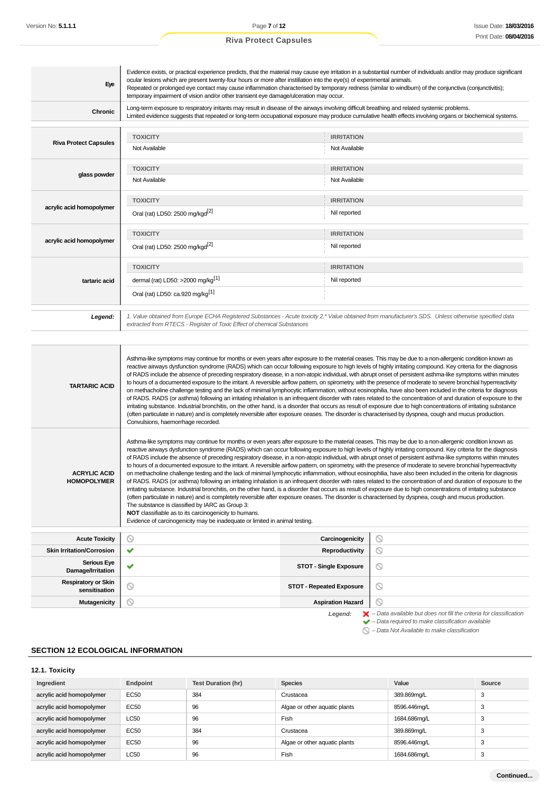| Eye                          | Evidence exists, or practical experience predicts, that the material may cause eye irritation in a substantial number of individuals and/or may produce significant<br>ocular lesions which are present twenty-four hours or more after instillation into the eye(s) of experimental animals.<br>Repeated or prolonged eye contact may cause inflammation characterised by temporary redness (similar to windburn) of the conjunctiva (conjunctivitis);<br>temporary impairment of vision and/or other transient eye damage/ulceration may occur. |                   |  |
|------------------------------|---------------------------------------------------------------------------------------------------------------------------------------------------------------------------------------------------------------------------------------------------------------------------------------------------------------------------------------------------------------------------------------------------------------------------------------------------------------------------------------------------------------------------------------------------|-------------------|--|
| Chronic                      | Long-term exposure to respiratory irritants may result in disease of the airways involving difficult breathing and related systemic problems.<br>Limited evidence suggests that repeated or long-term occupational exposure may produce cumulative health effects involving organs or biochemical systems.                                                                                                                                                                                                                                        |                   |  |
| <b>Riva Protect Capsules</b> | <b>TOXICITY</b>                                                                                                                                                                                                                                                                                                                                                                                                                                                                                                                                   | <b>IRRITATION</b> |  |
|                              | Not Available                                                                                                                                                                                                                                                                                                                                                                                                                                                                                                                                     | Not Available     |  |
|                              | <b>TOXICITY</b>                                                                                                                                                                                                                                                                                                                                                                                                                                                                                                                                   | <b>IRRITATION</b> |  |
| glass powder                 | Not Available                                                                                                                                                                                                                                                                                                                                                                                                                                                                                                                                     | Not Available     |  |
|                              | <b>TOXICITY</b>                                                                                                                                                                                                                                                                                                                                                                                                                                                                                                                                   | <b>IRRITATION</b> |  |
| acrylic acid homopolymer     | Oral (rat) LD50: 2500 mg/kgd <sup>[2]</sup>                                                                                                                                                                                                                                                                                                                                                                                                                                                                                                       | Nil reported      |  |
|                              | <b>TOXICITY</b>                                                                                                                                                                                                                                                                                                                                                                                                                                                                                                                                   | <b>IRRITATION</b> |  |
| acrylic acid homopolymer     | Oral (rat) LD50: 2500 mg/kgd <sup>[2]</sup>                                                                                                                                                                                                                                                                                                                                                                                                                                                                                                       | Nil reported      |  |
|                              | <b>TOXICITY</b>                                                                                                                                                                                                                                                                                                                                                                                                                                                                                                                                   | <b>IRRITATION</b> |  |
| tartaric acid                | dermal (rat) LD50: >2000 mg/kg <sup>[1]</sup>                                                                                                                                                                                                                                                                                                                                                                                                                                                                                                     | Nil reported      |  |
|                              | Oral (rat) LD50: ca.920 mg/kg <sup>[1]</sup>                                                                                                                                                                                                                                                                                                                                                                                                                                                                                                      |                   |  |
| Legend:                      | 1. Value obtained from Europe ECHA Registered Substances - Acute toxicity 2.* Value obtained from manufacturer's SDS. Unless otherwise specified data<br>extracted from RTECS - Register of Toxic Effect of chemical Substances                                                                                                                                                                                                                                                                                                                   |                   |  |

| <b>TARTARIC ACID</b>                        | Asthma-like symptoms may continue for months or even years after exposure to the material ceases. This may be due to a non-allergenic condition known as<br>reactive airways dysfunction syndrome (RADS) which can occur following exposure to high levels of highly irritating compound. Key criteria for the diagnosis<br>of RADS include the absence of preceding respiratory disease, in a non-atopic individual, with abrupt onset of persistent asthma-like symptoms within minutes<br>to hours of a documented exposure to the irritant. A reversible airflow pattern, on spirometry, with the presence of moderate to severe bronchial hyperreactivity<br>on methacholine challenge testing and the lack of minimal lymphocytic inflammation, without eosinophilia, have also been included in the criteria for diagnosis<br>of RADS. RADS (or asthma) following an irritating inhalation is an infrequent disorder with rates related to the concentration of and duration of exposure to the<br>irritating substance. Industrial bronchitis, on the other hand, is a disorder that occurs as result of exposure due to high concentrations of irritating substance<br>(often particulate in nature) and is completely reversible after exposure ceases. The disorder is characterised by dyspnea, cough and mucus production.<br>Convulsions, haemorrhage recorded.                                                                                                                                                      |                                 |                                                                                                                                                                    |
|---------------------------------------------|------------------------------------------------------------------------------------------------------------------------------------------------------------------------------------------------------------------------------------------------------------------------------------------------------------------------------------------------------------------------------------------------------------------------------------------------------------------------------------------------------------------------------------------------------------------------------------------------------------------------------------------------------------------------------------------------------------------------------------------------------------------------------------------------------------------------------------------------------------------------------------------------------------------------------------------------------------------------------------------------------------------------------------------------------------------------------------------------------------------------------------------------------------------------------------------------------------------------------------------------------------------------------------------------------------------------------------------------------------------------------------------------------------------------------------------------------------------------------------------------------------------------------------|---------------------------------|--------------------------------------------------------------------------------------------------------------------------------------------------------------------|
| <b>ACRYLIC ACID</b><br><b>HOMOPOLYMER</b>   | Asthma-like symptoms may continue for months or even years after exposure to the material ceases. This may be due to a non-allergenic condition known as<br>reactive airways dysfunction syndrome (RADS) which can occur following exposure to high levels of highly irritating compound. Key criteria for the diagnosis<br>of RADS include the absence of preceding respiratory disease, in a non-atopic individual, with abrupt onset of persistent asthma-like symptoms within minutes<br>to hours of a documented exposure to the irritant. A reversible airflow pattern, on spirometry, with the presence of moderate to severe bronchial hyperreactivity<br>on methacholine challenge testing and the lack of minimal lymphocytic inflammation, without eosinophilia, have also been included in the criteria for diagnosis<br>of RADS. RADS (or asthma) following an irritating inhalation is an infrequent disorder with rates related to the concentration of and duration of exposure to the<br>irritating substance. Industrial bronchitis, on the other hand, is a disorder that occurs as result of exposure due to high concentrations of irritating substance<br>(often particulate in nature) and is completely reversible after exposure ceases. The disorder is characterised by dyspnea, cough and mucus production.<br>The substance is classified by IARC as Group 3:<br>NOT classifiable as to its carcinogenicity to humans.<br>Evidence of carcinogenicity may be inadequate or limited in animal testing. |                                 |                                                                                                                                                                    |
|                                             |                                                                                                                                                                                                                                                                                                                                                                                                                                                                                                                                                                                                                                                                                                                                                                                                                                                                                                                                                                                                                                                                                                                                                                                                                                                                                                                                                                                                                                                                                                                                    |                                 |                                                                                                                                                                    |
| <b>Acute Toxicity</b>                       | O                                                                                                                                                                                                                                                                                                                                                                                                                                                                                                                                                                                                                                                                                                                                                                                                                                                                                                                                                                                                                                                                                                                                                                                                                                                                                                                                                                                                                                                                                                                                  | Carcinogenicity                 | $\circledcirc$                                                                                                                                                     |
| <b>Skin Irritation/Corrosion</b>            | ✔                                                                                                                                                                                                                                                                                                                                                                                                                                                                                                                                                                                                                                                                                                                                                                                                                                                                                                                                                                                                                                                                                                                                                                                                                                                                                                                                                                                                                                                                                                                                  | Reproductivity                  | $\circledcirc$                                                                                                                                                     |
| <b>Serious Eye</b><br>Damage/Irritation     | v                                                                                                                                                                                                                                                                                                                                                                                                                                                                                                                                                                                                                                                                                                                                                                                                                                                                                                                                                                                                                                                                                                                                                                                                                                                                                                                                                                                                                                                                                                                                  | <b>STOT - Single Exposure</b>   | $\circledcirc$                                                                                                                                                     |
| <b>Respiratory or Skin</b><br>sensitisation | $\circledcirc$                                                                                                                                                                                                                                                                                                                                                                                                                                                                                                                                                                                                                                                                                                                                                                                                                                                                                                                                                                                                                                                                                                                                                                                                                                                                                                                                                                                                                                                                                                                     | <b>STOT - Repeated Exposure</b> | $\circledcirc$                                                                                                                                                     |
| <b>Mutagenicity</b>                         | ര                                                                                                                                                                                                                                                                                                                                                                                                                                                                                                                                                                                                                                                                                                                                                                                                                                                                                                                                                                                                                                                                                                                                                                                                                                                                                                                                                                                                                                                                                                                                  | <b>Aspiration Hazard</b>        | $\odot$                                                                                                                                                            |
|                                             |                                                                                                                                                                                                                                                                                                                                                                                                                                                                                                                                                                                                                                                                                                                                                                                                                                                                                                                                                                                                                                                                                                                                                                                                                                                                                                                                                                                                                                                                                                                                    | Legend:                         | $\blacktriangleright$ - Data available but does not fill the criteria for classification<br>$\blacktriangleright$ - Data required to make classification available |

 $\bigcirc$  – Data Not Available to make classification

## **SECTION 12 ECOLOGICAL INFORMATION**

## **12.1. Toxicity**

| Ingredient               | Endpoint    | Test Duration (hr) | <b>Species</b>                | Value        | Source |
|--------------------------|-------------|--------------------|-------------------------------|--------------|--------|
| acrylic acid homopolymer | <b>EC50</b> | 384                | Crustacea                     | 389.869mg/L  | 3      |
| acrylic acid homopolymer | <b>EC50</b> | 96                 | Algae or other aquatic plants | 8596.446mg/L | 3      |
| acrylic acid homopolymer | <b>LC50</b> | 96                 | Fish                          | 1684.686mg/L | 3      |
| acrylic acid homopolymer | <b>EC50</b> | 384                | Crustacea                     | 389.869mg/L  | 3      |
| acrylic acid homopolymer | <b>EC50</b> | 96                 | Algae or other aquatic plants | 8596.446mg/L | 3      |
| acrylic acid homopolymer | <b>LC50</b> | 96                 | Fish                          | 1684.686mg/L | 3      |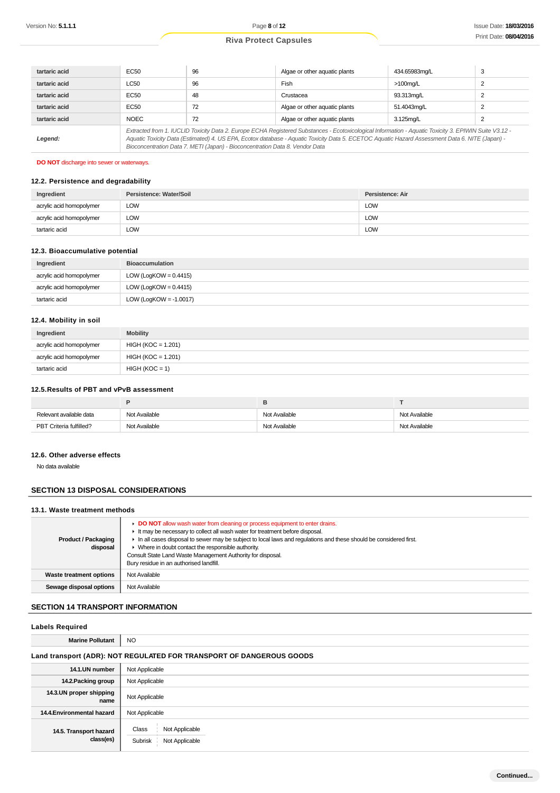| tartaric acid | EC <sub>50</sub>                                                                                                                                                                                                                                                                                                                                                                         | 96 | Algae or other aquatic plants | 434.65983mg/L | 3 |
|---------------|------------------------------------------------------------------------------------------------------------------------------------------------------------------------------------------------------------------------------------------------------------------------------------------------------------------------------------------------------------------------------------------|----|-------------------------------|---------------|---|
| tartaric acid | <b>LC50</b>                                                                                                                                                                                                                                                                                                                                                                              | 96 | <b>Fish</b>                   | $>100$ mg/L   |   |
| tartaric acid | EC50                                                                                                                                                                                                                                                                                                                                                                                     | 48 | Crustacea                     | 93.313mg/L    |   |
| tartaric acid | EC <sub>50</sub>                                                                                                                                                                                                                                                                                                                                                                         | 72 | Algae or other aquatic plants | 51.4043mg/L   |   |
| tartaric acid | <b>NOEC</b>                                                                                                                                                                                                                                                                                                                                                                              | 72 | Algae or other aquatic plants | 3.125mg/L     |   |
| Legend:       | Extracted from 1. IUCLID Toxicity Data 2. Europe ECHA Registered Substances - Ecotoxicological Information - Aquatic Toxicity 3. EPIWIN Suite V3.12 -<br>Aquatic Toxicity Data (Estimated) 4. US EPA, Ecotox database - Aquatic Toxicity Data 5. ECETOC Aquatic Hazard Assessment Data 6. NITE (Japan) -<br>Bioconcentration Data 7. METI (Japan) - Bioconcentration Data 8. Vendor Data |    |                               |               |   |

### **DO NOT** discharge into sewer or waterways.

### **12.2. Persistence and degradability**

| Ingredient               | Persistence: Water/Soil | Persistence: Air |
|--------------------------|-------------------------|------------------|
| acrylic acid homopolymer | LOW                     | <b>LOW</b>       |
| acrylic acid homopolymer | LOW                     | <b>LOW</b>       |
| tartaric acid            | LOW                     | <b>LOW</b>       |

#### **12.3. Bioaccumulative potential**

| Ingredient               | <b>Bioaccumulation</b>    |
|--------------------------|---------------------------|
| acrylic acid homopolymer | LOW (LogKOW = $0.4415$ )  |
| acrylic acid homopolymer | LOW (LogKOW = $0.4415$ )  |
| tartaric acid            | LOW (LogKOW = $-1.0017$ ) |

### **12.4. Mobility in soil**

| Ingredient               | <b>Mobility</b>      |
|--------------------------|----------------------|
| acrylic acid homopolymer | $HIGH (KOC = 1.201)$ |
| acrylic acid homopolymer | $HIGH (KOC = 1.201)$ |
| tartaric acid            | $HIGH (KOC = 1)$     |

### **12.5.Results of PBT and vPvB assessment**

| Relevant available data | Not Available | Not Available | Not Available |
|-------------------------|---------------|---------------|---------------|
| PBT Criteria fulfilled? | Not Available | Not Available | Not Available |

#### **12.6. Other adverse effects**

No data available

## **SECTION 13 DISPOSAL CONSIDERATIONS**

## **13.1. Waste treatment methods**

| <b>Product / Packaging</b><br>disposal | DO NOT allow wash water from cleaning or process equipment to enter drains.<br>It may be necessary to collect all wash water for treatment before disposal.<br>In all cases disposal to sewer may be subject to local laws and requlations and these should be considered first.<br>• Where in doubt contact the responsible authority.<br>Consult State Land Waste Management Authority for disposal.<br>Bury residue in an authorised landfill. |
|----------------------------------------|---------------------------------------------------------------------------------------------------------------------------------------------------------------------------------------------------------------------------------------------------------------------------------------------------------------------------------------------------------------------------------------------------------------------------------------------------|
| Waste treatment options                | Not Available                                                                                                                                                                                                                                                                                                                                                                                                                                     |
| Sewage disposal options                | Not Available                                                                                                                                                                                                                                                                                                                                                                                                                                     |

## **SECTION 14 TRANSPORT INFORMATION**

| <b>Labels Required</b>                                               |                                                      |  |  |
|----------------------------------------------------------------------|------------------------------------------------------|--|--|
| <b>Marine Pollutant</b>                                              | <b>NO</b>                                            |  |  |
| Land transport (ADR): NOT REGULATED FOR TRANSPORT OF DANGEROUS GOODS |                                                      |  |  |
| 14.1.UN number                                                       | Not Applicable                                       |  |  |
| 14.2. Packing group                                                  | Not Applicable                                       |  |  |
| 14.3.UN proper shipping<br>name                                      | Not Applicable                                       |  |  |
| 14.4. Environmental hazard                                           | Not Applicable                                       |  |  |
| 14.5. Transport hazard<br>class(es)                                  | Class<br>Not Applicable<br>Subrisk<br>Not Applicable |  |  |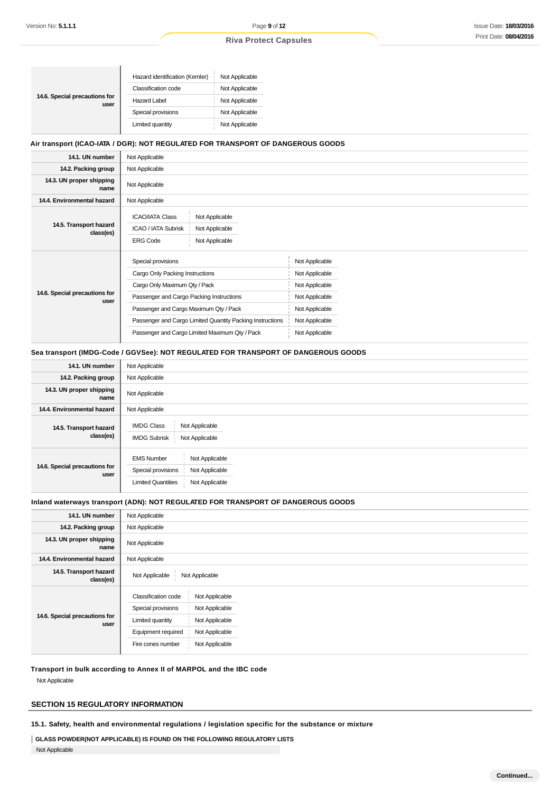$\overline{1}$ 

## **Riva Protect Capsules**

| 14.6. Special precautions for<br>user | Hazard identification (Kemler) | Not Applicable |
|---------------------------------------|--------------------------------|----------------|
|                                       | Classification code            | Not Applicable |
|                                       | <b>Hazard Label</b>            | Not Applicable |
|                                       | Special provisions             | Not Applicable |
|                                       | Limited quantity               | Not Applicable |

## **Air transport (ICAO-IATA / DGR): NOT REGULATED FOR TRANSPORT OF DANGEROUS GOODS**

| 14.1. UN number                       | Not Applicable                                                                                                                                                                                                                                                                              |                                                                                                                            |  |
|---------------------------------------|---------------------------------------------------------------------------------------------------------------------------------------------------------------------------------------------------------------------------------------------------------------------------------------------|----------------------------------------------------------------------------------------------------------------------------|--|
| 14.2. Packing group                   | Not Applicable                                                                                                                                                                                                                                                                              |                                                                                                                            |  |
| 14.3. UN proper shipping<br>name      | Not Applicable                                                                                                                                                                                                                                                                              |                                                                                                                            |  |
| 14.4. Environmental hazard            | Not Applicable                                                                                                                                                                                                                                                                              |                                                                                                                            |  |
| 14.5. Transport hazard<br>class(es)   | <b>ICAO/IATA Class</b><br>Not Applicable<br>ICAO / IATA Subrisk<br>Not Applicable<br>Not Applicable<br><b>ERG Code</b>                                                                                                                                                                      |                                                                                                                            |  |
| 14.6. Special precautions for<br>user | Special provisions<br>Cargo Only Packing Instructions<br>Cargo Only Maximum Qty / Pack<br>Passenger and Cargo Packing Instructions<br>Passenger and Cargo Maximum Qty / Pack<br>Passenger and Cargo Limited Quantity Packing Instructions<br>Passenger and Cargo Limited Maximum Qty / Pack | Not Applicable<br>Not Applicable<br>Not Applicable<br>Not Applicable<br>Not Applicable<br>Not Applicable<br>Not Applicable |  |

### **Sea transport (IMDG-Code / GGVSee): NOT REGULATED FOR TRANSPORT OF DANGEROUS GOODS**

| 14.1. UN number                       | Not Applicable                                                                                                             |
|---------------------------------------|----------------------------------------------------------------------------------------------------------------------------|
| 14.2. Packing group                   | Not Applicable                                                                                                             |
| 14.3. UN proper shipping<br>name      | Not Applicable                                                                                                             |
| 14.4. Environmental hazard            | Not Applicable                                                                                                             |
| 14.5. Transport hazard<br>class(es)   | <b>IMDG Class</b><br>Not Applicable<br><b>IMDG Subrisk</b><br>Not Applicable                                               |
| 14.6. Special precautions for<br>user | <b>EMS Number</b><br>Not Applicable<br>Special provisions<br>Not Applicable<br><b>Limited Quantities</b><br>Not Applicable |

#### **Inland waterways transport (ADN): NOT REGULATED FOR TRANSPORT OF DANGEROUS GOODS**

| 14.1. UN number                       | Not Applicable                                                                                                                                                                                            |
|---------------------------------------|-----------------------------------------------------------------------------------------------------------------------------------------------------------------------------------------------------------|
| 14.2. Packing group                   | Not Applicable                                                                                                                                                                                            |
| 14.3. UN proper shipping<br>name      | Not Applicable                                                                                                                                                                                            |
| 14.4. Environmental hazard            | Not Applicable                                                                                                                                                                                            |
| 14.5. Transport hazard<br>class(es)   | Not Applicable<br>Not Applicable                                                                                                                                                                          |
| 14.6. Special precautions for<br>user | <b>Classification code</b><br>Not Applicable<br>Special provisions<br>Not Applicable<br>Limited quantity<br>Not Applicable<br>Not Applicable<br>Equipment required<br>Not Applicable<br>Fire cones number |

**Transport in bulk according to Annex II of MARPOL and the IBC code**

Not Applicable

## **SECTION 15 REGULATORY INFORMATION**

**15.1. Safety, health and environmental regulations / legislation specific for the substance or mixture**

## **GLASS POWDER(NOT APPLICABLE) IS FOUND ON THE FOLLOWING REGULATORY LISTS**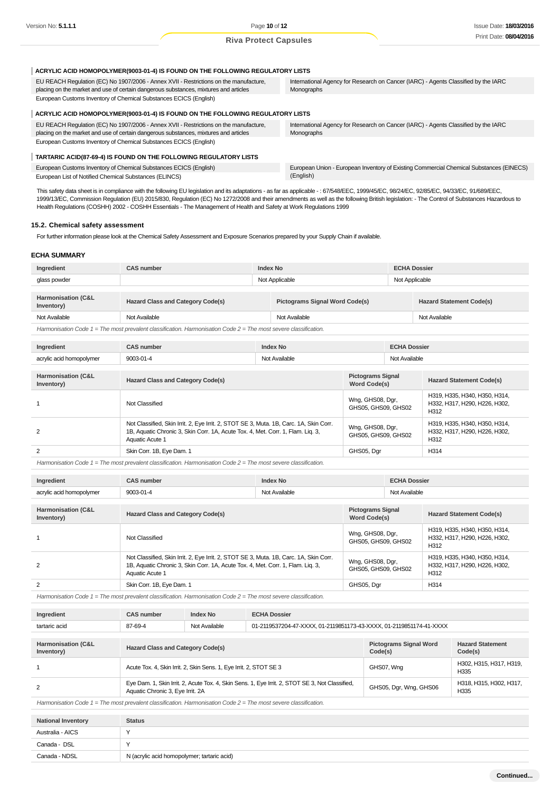| ACRYLIC ACID HOMOPOLYMER(9003-01-4) IS FOUND ON THE FOLLOWING REGULATORY LISTS                                                                                                |                                                                                                  |
|-------------------------------------------------------------------------------------------------------------------------------------------------------------------------------|--------------------------------------------------------------------------------------------------|
| EU REACH Regulation (EC) No 1907/2006 - Annex XVII - Restrictions on the manufacture,<br>placing on the market and use of certain dangerous substances, mixtures and articles | International Agency for Research on Cancer (IARC) - Agents Classified by the IARC<br>Monographs |
| European Customs Inventory of Chemical Substances ECICS (English)                                                                                                             |                                                                                                  |
| ACRYLIC ACID HOMOPOLYMER(9003-01-4) IS FOUND ON THE FOLLOWING REGULATORY LISTS                                                                                                |                                                                                                  |
| EU REACH Regulation (EC) No 1907/2006 - Annex XVII - Restrictions on the manufacture,<br>placing on the market and use of certain dangerous substances, mixtures and articles | International Agency for Research on Cancer (IARC) - Agents Classified by the IARC<br>Monographs |
| European Customs Inventory of Chemical Substances ECICS (English)                                                                                                             |                                                                                                  |
| TARTARIC ACID(87-69-4) IS FOUND ON THE FOLLOWING REGULATORY LISTS                                                                                                             |                                                                                                  |
| European Customs Inventory of Chemical Substances ECICS (English)                                                                                                             | European Union - European Inventory of Existing Commercial Chemical Substances (EINECS)          |
| European List of Notified Chemical Substances (ELINCS)                                                                                                                        | (English)                                                                                        |

This safety data sheet is in compliance with the following EU legislation and its adaptations - as far as applicable -: 67/548/EEC, 1999/45/EC, 98/24/EC, 92/85/EC, 94/33/EC, 91/689/EEC, 1999/13/EC, Commission Regulation (EU) 2015/830, Regulation (EC) No 1272/2008 and their amendments as well as the following British legislation: - The Control of Substances Hazardous to Health Regulations (COSHH) 2002 - COSHH Essentials - The Management of Health and Safety at Work Regulations 1999

#### **15.2. Chemical safety assessment**

For further information please look at the Chemical Safety Assessment and Exposure Scenarios prepared by your Supply Chain if available.

### **ECHA SUMMARY**

| Ingredient                                                                                                           | <b>Index No</b><br><b>CAS number</b> |                | <b>ECHA Dossier</b>                   |                |                                 |
|----------------------------------------------------------------------------------------------------------------------|--------------------------------------|----------------|---------------------------------------|----------------|---------------------------------|
| glass powder                                                                                                         |                                      | Not Applicable |                                       | Not Applicable |                                 |
|                                                                                                                      |                                      |                |                                       |                |                                 |
| Harmonisation (C&L<br>Inventory)                                                                                     | Hazard Class and Category Code(s)    |                | <b>Pictograms Signal Word Code(s)</b> |                | <b>Hazard Statement Code(s)</b> |
| Not Available                                                                                                        | Not Available                        |                | Not Available                         |                | Not Available                   |
| Harmonisation Code $1 =$ The most prevalent classification. Harmonisation Code $2 =$ The most severe classification. |                                      |                |                                       |                |                                 |

| Ingredie                            |        | Index No<br> | Dossiei       |
|-------------------------------------|--------|--------------|---------------|
| acrylic<br>acid homopolymer<br>≀ יש | $\sim$ | NΜ<br>ישוי   | .<br>vailable |

| Harmonisation (C&L<br>Inventory) | <b>Hazard Class and Category Code(s)</b>                                                                                                                                                     | <b>Pictograms Signal</b><br>Word Code(s) | <b>Hazard Statement Code(s)</b>                                                    |
|----------------------------------|----------------------------------------------------------------------------------------------------------------------------------------------------------------------------------------------|------------------------------------------|------------------------------------------------------------------------------------|
|                                  | Not Classified                                                                                                                                                                               | Wng, GHS08, Dgr,<br>GHS05, GHS09, GHS02  | H319, H335, H340, H350, H314,<br>H332, H317, H290, H226, H302,<br>H312             |
| 2                                | Not Classified, Skin Irrit. 2, Eye Irrit. 2, STOT SE 3, Muta. 1B, Carc. 1A, Skin Corr.<br>1B, Aquatic Chronic 3, Skin Corr. 1A, Acute Tox. 4, Met. Corr. 1, Flam. Liq. 3,<br>Aquatic Acute 1 | Wng, GHS08, Dgr,<br>GHS05, GHS09, GHS02  | H319, H335, H340, H350, H314,<br>H332, H317, H290, H226, H302,<br>H <sub>312</sub> |
| 2                                | Skin Corr. 1B, Eye Dam. 1                                                                                                                                                                    | GHS05, Dgr                               | H <sub>314</sub>                                                                   |

Harmonisation Code  $1 =$  The most prevalent classification. Harmonisation Code  $2 =$  The most severe classification.

| Ingredient                                  | <b>CAS number</b>                                                                                                                                                                            | <b>Index No</b> |                                                 | <b>ECHA Dossier</b> |                                                                        |
|---------------------------------------------|----------------------------------------------------------------------------------------------------------------------------------------------------------------------------------------------|-----------------|-------------------------------------------------|---------------------|------------------------------------------------------------------------|
| acrylic acid homopolymer                    | 9003-01-4                                                                                                                                                                                    | Not Available   |                                                 | Not Available       |                                                                        |
|                                             |                                                                                                                                                                                              |                 |                                                 |                     |                                                                        |
| <b>Harmonisation (C&amp;L</b><br>Inventory) | <b>Hazard Class and Category Code(s)</b>                                                                                                                                                     |                 | <b>Pictograms Signal</b><br><b>Word Code(s)</b> |                     | <b>Hazard Statement Code(s)</b>                                        |
|                                             | Not Classified                                                                                                                                                                               |                 | Wng, GHS08, Dgr,<br>GHS05, GHS09, GHS02         |                     | H319, H335, H340, H350, H314,<br>H332, H317, H290, H226, H302.<br>H312 |
| 2                                           | Not Classified, Skin Irrit. 2, Eye Irrit. 2, STOT SE 3, Muta. 1B, Carc. 1A, Skin Corr.<br>1B, Aquatic Chronic 3, Skin Corr. 1A, Acute Tox. 4, Met. Corr. 1, Flam. Lig. 3,<br>Aquatic Acute 1 |                 | Wng, GHS08, Dgr,<br>GHS05, GHS09, GHS02         |                     | H319, H335, H340, H350, H314,<br>H332, H317, H290, H226, H302.<br>H312 |
| 2                                           | Skin Corr. 1B, Eye Dam. 1                                                                                                                                                                    |                 | GHS05, Dgr                                      |                     | H314                                                                   |

Harmonisation Code 1 = The most prevalent classification. Harmonisation Code 2 = The most severe classification.

| Ingredient                                                                                                     | <b>CAS number</b>                                                                                                                   | <b>Index No</b>                          | <b>ECHA Dossier</b>                                                 |                        |                                    |  |
|----------------------------------------------------------------------------------------------------------------|-------------------------------------------------------------------------------------------------------------------------------------|------------------------------------------|---------------------------------------------------------------------|------------------------|------------------------------------|--|
| tartaric acid                                                                                                  | 87-69-4                                                                                                                             | Not Available                            | 01-2119537204-47-XXXX, 01-2119851173-43-XXXX, 01-2119851174-41-XXXX |                        |                                    |  |
|                                                                                                                |                                                                                                                                     |                                          |                                                                     |                        |                                    |  |
| Harmonisation (C&L<br>Inventory)                                                                               |                                                                                                                                     | <b>Hazard Class and Category Code(s)</b> |                                                                     |                        | <b>Hazard Statement</b><br>Code(s) |  |
|                                                                                                                | Acute Tox. 4, Skin Irrit. 2, Skin Sens. 1, Eye Irrit. 2, STOT SE 3                                                                  |                                          |                                                                     | GHS07, Wng             | H302, H315, H317, H319,<br>H335    |  |
| 2                                                                                                              | Eye Dam. 1, Skin Irrit. 2, Acute Tox. 4, Skin Sens. 1, Eye Irrit. 2, STOT SE 3, Not Classified,<br>Aquatic Chronic 3, Eye Irrit. 2A |                                          |                                                                     | GHS05, Dgr, Wng, GHS06 | H318, H315, H302, H317,<br>H335    |  |
| Harmonisation Code 1 - The most prevalent classification Harmonisation Code 2 - The most severe classification |                                                                                                                                     |                                          |                                                                     |                        |                                    |  |

Harmonisation Code 1 = The most prevalent classification. Harmonisation Code 2 = The most severe classification.

| <b>National Inventory</b> | <b>Status</b>                               |
|---------------------------|---------------------------------------------|
| Australia - AICS          | $\checkmark$                                |
| Canada - DSL              | $\sqrt{}$                                   |
| Canada - NDSL             | N (acrylic acid homopolymer; tartaric acid) |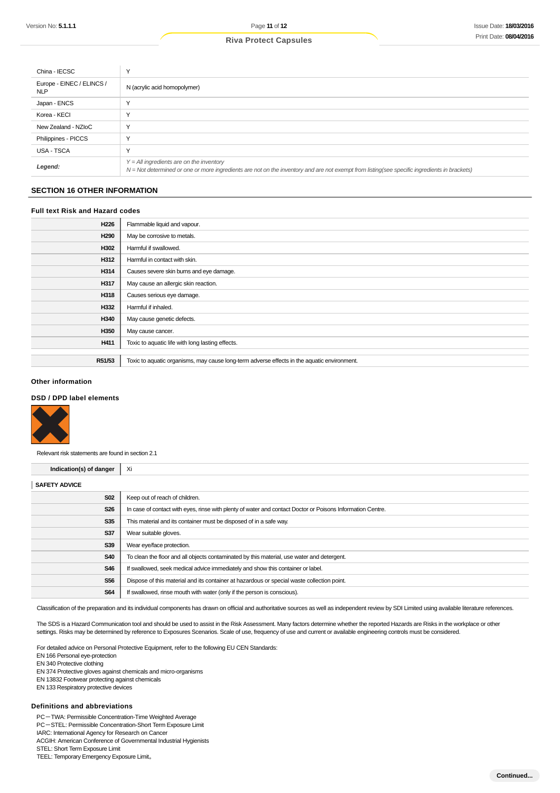| China - IECSC                           |                                                                                                                                                                                            |
|-----------------------------------------|--------------------------------------------------------------------------------------------------------------------------------------------------------------------------------------------|
| Europe - EINEC / ELINCS /<br><b>NLP</b> | N (acrylic acid homopolymer)                                                                                                                                                               |
| Japan - ENCS                            |                                                                                                                                                                                            |
| Korea - KECI                            |                                                                                                                                                                                            |
| New Zealand - NZIoC                     |                                                                                                                                                                                            |
| Philippines - PICCS                     |                                                                                                                                                                                            |
| USA - TSCA                              |                                                                                                                                                                                            |
| Legend:                                 | $Y = All$ ingredients are on the inventory<br>N = Not determined or one or more ingredients are not on the inventory and are not exempt from listing(see specific ingredients in brackets) |

#### **SECTION 16 OTHER INFORMATION**

#### **Full text Risk and Hazard codes**

| H226             | Flammable liquid and vapour.                                                                |
|------------------|---------------------------------------------------------------------------------------------|
| H <sub>290</sub> | May be corrosive to metals.                                                                 |
| H302             | Harmful if swallowed.                                                                       |
| H312             | Harmful in contact with skin.                                                               |
| H314             | Causes severe skin burns and eye damage.                                                    |
| H317             | May cause an allergic skin reaction.                                                        |
| H318             | Causes serious eye damage.                                                                  |
| H332             | Harmful if inhaled.                                                                         |
| H340             | May cause genetic defects.                                                                  |
| H350             | May cause cancer.                                                                           |
| H411             | Toxic to aquatic life with long lasting effects.                                            |
|                  |                                                                                             |
| R51/53           | Toxic to aquatic organisms, may cause long-term adverse effects in the aquatic environment. |

#### **Other information**

## **DSD / DPD label elements**



Relevant risk statements are found in section 2.1

| Indication(s) of danger | Xi                                                                                                         |
|-------------------------|------------------------------------------------------------------------------------------------------------|
| <b>SAFETY ADVICE</b>    |                                                                                                            |
| <b>S02</b>              | Keep out of reach of children.                                                                             |
| <b>S26</b>              | In case of contact with eyes, rinse with plenty of water and contact Doctor or Poisons Information Centre. |
| S35                     | This material and its container must be disposed of in a safe way.                                         |
| S37                     | Wear suitable gloves.                                                                                      |
| <b>S39</b>              | Wear eye/face protection.                                                                                  |
| <b>S40</b>              | To clean the floor and all objects contaminated by this material, use water and detergent.                 |
| <b>S46</b>              | If swallowed, seek medical advice immediately and show this container or label.                            |
| <b>S56</b>              | Dispose of this material and its container at hazardous or special waste collection point.                 |
| <b>S64</b>              | If swallowed, rinse mouth with water (only if the person is conscious).                                    |

Classification of the preparation and its individual components has drawn on official and authoritative sources as well as independent review by SDI Limited using available literature references.

The SDS is a Hazard Communication tool and should be used to assist in the Risk Assessment. Many factors determine whether the reported Hazards are Risks in the workplace or other settings. Risks may be determined by reference to Exposures Scenarios. Scale of use, frequency of use and current or available engineering controls must be considered.

For detailed advice on Personal Protective Equipment, refer to the following EU CEN Standards:

- EN 166 Personal eye-protection
- EN 340 Protective clothing
- EN 374 Protective gloves against chemicals and micro-organisms
- EN 13832 Footwear protecting against chemicals
- EN 133 Respiratory protective devices

#### **Definitions and abbreviations**

PC-TWA: Permissible Concentration-Time Weighted Average

- PC-STEL: Permissible Concentration-Short Term Exposure Limit
- IARC: International Agency for Research on Cancer

ACGIH: American Conference of Governmental Industrial Hygienists

STEL: Short Term Exposure Limit

TEEL: Temporary Emergency Exposure Limit。